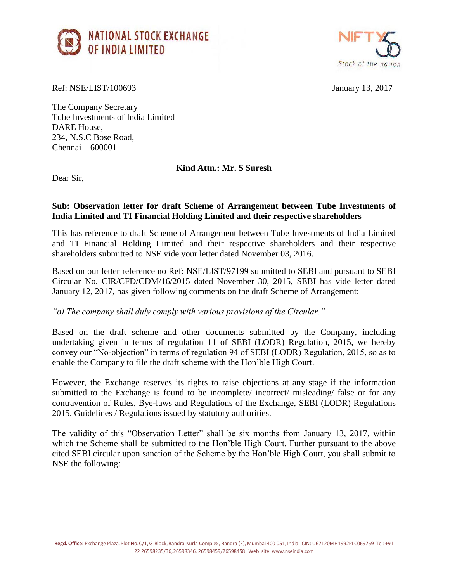



Ref: NSE/LIST/100693 January 13, 2017

The Company Secretary Tube Investments of India Limited DARE House, 234, N.S.C Bose Road, Chennai – 600001

**Kind Attn.: Mr. S Suresh**

Dear Sir,

## **Sub: Observation letter for draft Scheme of Arrangement between Tube Investments of India Limited and TI Financial Holding Limited and their respective shareholders**

This has reference to draft Scheme of Arrangement between Tube Investments of India Limited and TI Financial Holding Limited and their respective shareholders and their respective shareholders submitted to NSE vide your letter dated November 03, 2016.

Based on our letter reference no Ref: NSE/LIST/97199 submitted to SEBI and pursuant to SEBI Circular No. CIR/CFD/CDM/16/2015 dated November 30, 2015, SEBI has vide letter dated January 12, 2017, has given following comments on the draft Scheme of Arrangement:

*"a) The company shall duly comply with various provisions of the Circular."*

Based on the draft scheme and other documents submitted by the Company, including undertaking given in terms of regulation 11 of SEBI (LODR) Regulation, 2015, we hereby convey our "No-objection" in terms of regulation 94 of SEBI (LODR) Regulation, 2015, so as to enable the Company to file the draft scheme with the Hon'ble High Court.

However, the Exchange reserves its rights to raise objections at any stage if the information submitted to the Exchange is found to be incomplete/ incorrect/ misleading/ false or for any contravention of Rules, Bye-laws and Regulations of the Exchange, SEBI (LODR) Regulations 2015, Guidelines / Regulations issued by statutory authorities.

The validity of this "Observation Letter" shall be six months from January 13, 2017, within which the Scheme shall be submitted to the Hon'ble High Court. Further pursuant to the above cited SEBI circular upon sanction of the Scheme by the Hon'ble High Court, you shall submit to NSE the following: